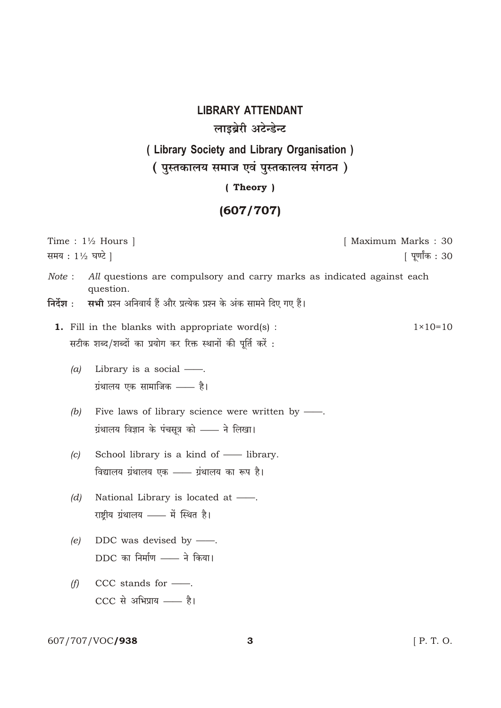**LIBRARY ATTENDANT** लाइब्रेरी अटेन्डेन्ट ( Library Society and Library Organisation ) ( पुस्तकालय समाज एवं पुस्तकालय संगठन) (Theory)

## $(607/707)$

| Time : $1\frac{1}{2}$ Hours  <br>समय : 1½ घण्टे                                                                                                                                  | [ Maximum Marks : 30<br>  पूर्णांक : 30 |
|----------------------------------------------------------------------------------------------------------------------------------------------------------------------------------|-----------------------------------------|
| All questions are compulsory and carry marks as indicated against each<br>Note:<br>question.<br>सभी प्रश्न अनिवार्य हैं और प्रत्येक प्रश्न के अंक सामने दिए गए हैं।<br>निर्देश : |                                         |
| <b>1.</b> Fill in the blanks with appropriate word(s) :<br>सटीक शब्द/शब्दों का प्रयोग कर रिक्त स्थानों की पूर्ति करें :                                                          | $1 \times 10 = 10$                      |
| Library is a social -<br>(a)<br>ग्रंथालय एक सामाजिक —— है।                                                                                                                       |                                         |
| Five laws of library science were written by —.<br>(b)<br>ग्रंथालय विज्ञान के पंचसूत्र को —— ने लिखा।                                                                            |                                         |
| School library is a kind of — library.<br>(c)<br>विद्यालय ग्रंथालय एक - ग्रंथालय का रूप है।                                                                                      |                                         |
| National Library is located at -<br>(d)<br>राष्ट्रीय ग्रंथालय —— में स्थित है।                                                                                                   |                                         |
| DDC was devised by $\frac{1}{1}$ .<br>(e)<br>DDC का निर्माण —— ने किया।                                                                                                          |                                         |
| CCC stands for --<br>(f)<br>CCC से अभिप्राय - है।                                                                                                                                |                                         |

607/707/VOC**/938** 

 $[$  P. T. O.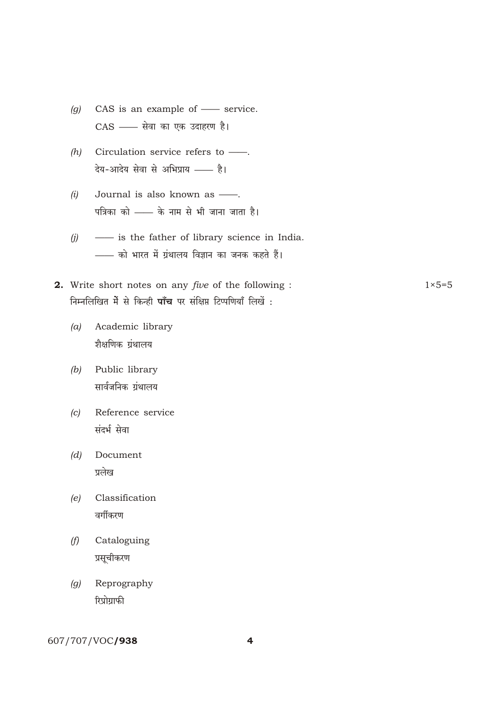- *(g)* CAS is an example of —— service. CAS - सेवा का एक उदाहरण है।
- *(h)* Circulation service refers to ——. देय-आदेय सेवा से अभिप्राय —— है।
- *(i)* Journal is also known as ——. पत्रिका को —— के नाम से भी जाना जाता है।
- *(j)* —— is the father of library science in India. —— को भारत में ग्रंथालय विज्ञान का जनक कहते हैं।
- **2.** Write short notes on any *five* of the following : 1×5=5 <u>निम्नलिखित में से किन्ही **पाँच** पर संक्षिप्त टिप्पणियाँ लिखें :</u>
	- *(a)* Academic library शैक्षणिक ग्रंथालय
	- *(b)* Public library सार्वजनिक ग्रंथालय
	- *(c)* Reference service संदर्भ सेवा
	- *(d)* Document प्रलेख
	- *(e)* Classification वर्गीकरण
	- *(f)* Cataloguing प्रसूचीकरण
	- *(g)* Reprography रिप्रोग्राफी

607/707/VOC/938 4